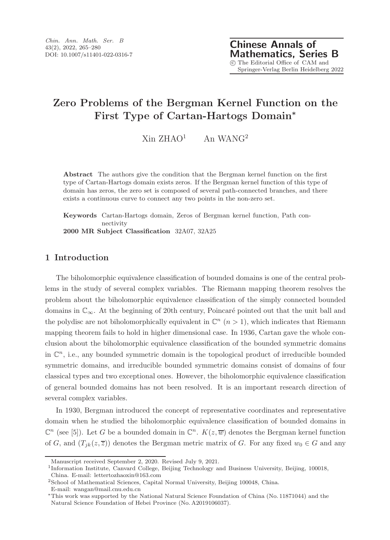# Zero Problems of the Bergman Kernel Function on the First Type of Cartan-Hartogs Domain<sup>∗</sup>

 $Xin ZHAO<sup>1</sup>$  An WANG<sup>2</sup>

Abstract The authors give the condition that the Bergman kernel function on the first type of Cartan-Hartogs domain exists zeros. If the Bergman kernel function of this type of domain has zeros, the zero set is composed of several path-connected branches, and there exists a continuous curve to connect any two points in the non-zero set.

Keywords Cartan-Hartogs domain, Zeros of Bergman kernel function, Path connectivity 2000 MR Subject Classification 32A07, 32A25

## 1 Introduction

The biholomorphic equivalence classification of bounded domains is one of the central problems in the study of several complex variables. The Riemann mapping theorem resolves the problem about the biholomorphic equivalence classification of the simply connected bounded domains in  $\mathbb{C}_{\infty}$ . At the beginning of 20th century, Poincaré pointed out that the unit ball and the polydisc are not biholomorphically equivalent in  $\mathbb{C}^n$   $(n > 1)$ , which indicates that Riemann mapping theorem fails to hold in higher dimensional case. In 1936, Cartan gave the whole conclusion about the biholomorphic equivalence classification of the bounded symmetric domains in  $\mathbb{C}^n$ , i.e., any bounded symmetric domain is the topological product of irreducible bounded symmetric domains, and irreducible bounded symmetric domains consist of domains of four classical types and two exceptional ones. However, the biholomorphic equivalence classification of general bounded domains has not been resolved. It is an important research direction of several complex variables.

In 1930, Bergman introduced the concept of representative coordinates and representative domain when he studied the biholomorphic equivalence classification of bounded domains in  $\mathbb{C}^n$  (see [5]). Let G be a bounded domain in  $\mathbb{C}^n$ .  $K(z,\overline{w})$  denotes the Bergman kernel function of G, and  $(T_{jk}(z, \overline{z}))$  denotes the Bergman metric matrix of G. For any fixed  $w_0 \in G$  and any

Manuscript received September 2, 2020. Revised July 9, 2021.

<sup>1</sup> Information Institute, Canvard College, Beijing Technology and Business University, Beijing, 100018,

China. E-mail: lettertozhaoxin@163.com

<sup>2</sup>School of Mathematical Sciences, Capital Normal University, Beijing 100048, China.

E-mail: wangan@mail.cnu.edu.cn

<sup>∗</sup>This work was supported by the National Natural Science Foundation of China (No. 11871044) and the Natural Science Foundation of Hebei Province (No. A2019106037).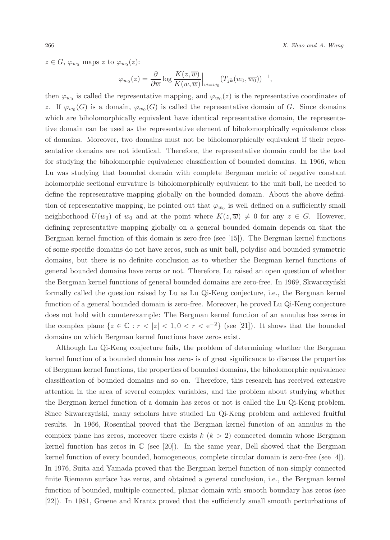266 X. Zhao and A. Wang

 $z \in G$ ,  $\varphi_{w_0}$  maps z to  $\varphi_{w_0}(z)$ :

$$
\varphi_{w_0}(z) = \frac{\partial}{\partial \overline{w}} \log \frac{K(z, \overline{w})}{K(w, \overline{w})} \Big|_{w=w_0} (T_{jk}(w_0, \overline{w_0}))^{-1},
$$

then  $\varphi_{w_0}$  is called the representative mapping, and  $\varphi_{w_0}(z)$  is the representative coordinates of z. If  $\varphi_{w_0}(G)$  is a domain,  $\varphi_{w_0}(G)$  is called the representative domain of G. Since domains which are biholomorphically equivalent have identical representative domain, the representative domain can be used as the representative element of biholomorphically equivalence class of domains. Moreover, two domains must not be biholomorphically equivalent if their representative domains are not identical. Therefore, the representative domain could be the tool for studying the biholomorphic equivalence classification of bounded domains. In 1966, when Lu was studying that bounded domain with complete Bergman metric of negative constant holomorphic sectional curvature is biholomorphically equivalent to the unit ball, he needed to define the representative mapping globally on the bounded domain. About the above definition of representative mapping, he pointed out that  $\varphi_{w_0}$  is well defined on a sufficiently small neighborhood  $U(w_0)$  of  $w_0$  and at the point where  $K(z, \overline{w}) \neq 0$  for any  $z \in G$ . However, defining representative mapping globally on a general bounded domain depends on that the Bergman kernel function of this domain is zero-free (see [15]). The Bergman kernel functions of some specific domains do not have zeros, such as unit ball, polydisc and bounded symmetric domains, but there is no definite conclusion as to whether the Bergman kernel functions of general bounded domains have zeros or not. Therefore, Lu raised an open question of whether the Bergman kernel functions of general bounded domains are zero-free. In 1969, Skwarczyński formally called the question raised by Lu as Lu Qi-Keng conjecture, i.e., the Bergman kernel function of a general bounded domain is zero-free. Moreover, he proved Lu Qi-Keng conjecture does not hold with counterexample: The Bergman kernel function of an annulus has zeros in the complex plane  $\{z \in \mathbb{C} : r < |z| < 1, 0 < r < e^{-2}\}$  (see [21]). It shows that the bounded domains on which Bergman kernel functions have zeros exist.

Although Lu Qi-Keng conjecture fails, the problem of determining whether the Bergman kernel function of a bounded domain has zeros is of great significance to discuss the properties of Bergman kernel functions, the properties of bounded domains, the biholomorphic equivalence classification of bounded domains and so on. Therefore, this research has received extensive attention in the area of several complex variables, and the problem about studying whether the Bergman kernel function of a domain has zeros or not is called the Lu Qi-Keng problem. Since Skwarczyński, many scholars have studied Lu Qi-Keng problem and achieved fruitful results. In 1966, Rosenthal proved that the Bergman kernel function of an annulus in the complex plane has zeros, moreover there exists  $k$   $(k > 2)$  connected domain whose Bergman kernel function has zeros in  $\mathbb C$  (see [20]). In the same year, Bell showed that the Bergman kernel function of every bounded, homogeneous, complete circular domain is zero-free (see [4]). In 1976, Suita and Yamada proved that the Bergman kernel function of non-simply connected finite Riemann surface has zeros, and obtained a general conclusion, i.e., the Bergman kernel function of bounded, multiple connected, planar domain with smooth boundary has zeros (see [22]). In 1981, Greene and Krantz proved that the sufficiently small smooth perturbations of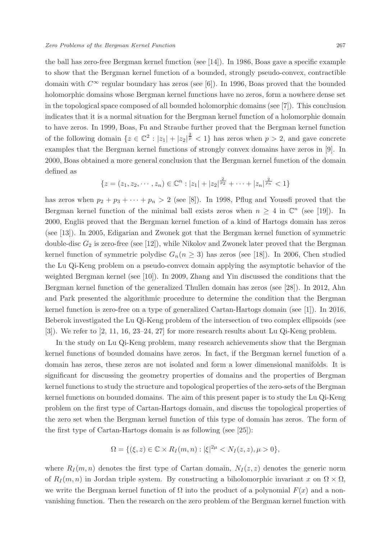the ball has zero-free Bergman kernel function (see [14]). In 1986, Boas gave a specific example to show that the Bergman kernel function of a bounded, strongly pseudo-convex, contractible domain with  $C^{\infty}$  regular boundary has zeros (see [6]). In 1996, Boas proved that the bounded holomorphic domains whose Bergman kernel functions have no zeros, form a nowhere dense set in the topological space composed of all bounded holomorphic domains (see [7]). This conclusion indicates that it is a normal situation for the Bergman kernel function of a holomorphic domain to have zeros. In 1999, Boas, Fu and Straube further proved that the Bergman kernel function of the following domain  $\{z \in \mathbb{C}^2 : |z_1| + |z_2|^{\frac{2}{p}} < 1\}$  has zeros when  $p > 2$ , and gave concrete examples that the Bergman kernel functions of strongly convex domains have zeros in [9]. In 2000, Boas obtained a more general conclusion that the Bergman kernel function of the domain defined as

$$
\{z = (z_1, z_2, \cdots, z_n) \in \mathbb{C}^n : |z_1| + |z_2|^{\frac{2}{p_2}} + \cdots + |z_n|^{\frac{2}{p_n}} < 1\}
$$

has zeros when  $p_2 + p_3 + \cdots + p_n > 2$  (see [8]). In 1998, Pflug and Youssfi proved that the Bergman kernel function of the minimal ball exists zeros when  $n \geq 4$  in  $\mathbb{C}^n$  (see [19]). In 2000, Engliš proved that the Bergman kernel function of a kind of Hartogs domain has zeros (see [13]). In 2005, Edigarian and Zwonek got that the Bergman kernel function of symmetric double-disc  $G_2$  is zero-free (see [12]), while Nikolov and Zwonek later proved that the Bergman kernel function of symmetric polydisc  $G_n(n \geq 3)$  has zeros (see [18]). In 2006, Chen studied the Lu Qi-Keng problem on a pseudo-convex domain applying the asymptotic behavior of the weighted Bergman kernel (see [10]). In 2009, Zhang and Yin discussed the conditions that the Bergman kernel function of the generalized Thullen domain has zeros (see [28]). In 2012, Ahn and Park presented the algorithmic procedure to determine the condition that the Bergman kernel function is zero-free on a type of generalized Cartan-Hartogs domain (see [1]). In 2016, Beberok investigated the Lu Qi-Keng problem of the intersection of two complex ellipsoids (see [3]). We refer to [2, 11, 16, 23–24, 27] for more research results about Lu Qi-Keng problem.

In the study on Lu Qi-Keng problem, many research achievements show that the Bergman kernel functions of bounded domains have zeros. In fact, if the Bergman kernel function of a domain has zeros, these zeros are not isolated and form a lower dimensional manifolds. It is significant for discussing the geometry properties of domains and the properties of Bergman kernel functions to study the structure and topological properties of the zero-sets of the Bergman kernel functions on bounded domains. The aim of this present paper is to study the Lu Qi-Keng problem on the first type of Cartan-Hartogs domain, and discuss the topological properties of the zero set when the Bergman kernel function of this type of domain has zeros. The form of the first type of Cartan-Hartogs domain is as following (see [25]):

$$
\Omega = \{ (\xi, z) \in \mathbb{C} \times R_I(m, n) : |\xi|^{2\mu} < N_I(z, z), \mu > 0 \},
$$

where  $R_I(m, n)$  denotes the first type of Cartan domain,  $N_I(z, z)$  denotes the generic norm of  $R_I(m, n)$  in Jordan triple system. By constructing a biholomorphic invariant x on  $\Omega \times \Omega$ , we write the Bergman kernel function of  $\Omega$  into the product of a polynomial  $F(x)$  and a nonvanishing function. Then the research on the zero problem of the Bergman kernel function with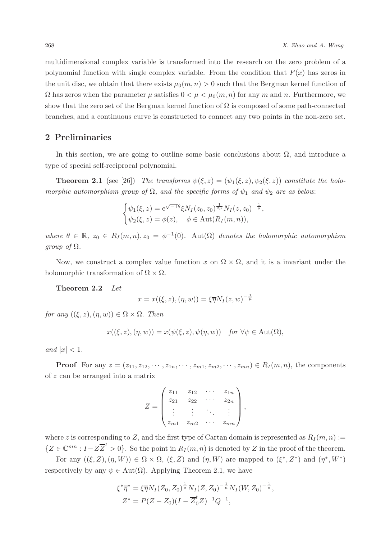multidimensional complex variable is transformed into the research on the zero problem of a polynomial function with single complex variable. From the condition that  $F(x)$  has zeros in the unit disc, we obtain that there exists  $\mu_0(m, n) > 0$  such that the Bergman kernel function of  $\Omega$  has zeros when the parameter  $\mu$  satisfies  $0 < \mu < \mu_0(m, n)$  for any m and n. Furthermore, we show that the zero set of the Bergman kernel function of  $\Omega$  is composed of some path-connected branches, and a continuous curve is constructed to connect any two points in the non-zero set.

#### 2 Preliminaries

In this section, we are going to outline some basic conclusions about  $\Omega$ , and introduce a type of special self-reciprocal polynomial.

**Theorem 2.1** (see [26]) The transforms  $\psi(\xi, z) = (\psi_1(\xi, z), \psi_2(\xi, z))$  constitute the holomorphic automorphism group of  $\Omega$ , and the specific forms of  $\psi_1$  and  $\psi_2$  are as below:

$$
\begin{cases} \psi_1(\xi, z) = e^{\sqrt{-1}\theta} \xi N_I(z_0, z_0)^{\frac{1}{2\mu}} N_I(z, z_0)^{-\frac{1}{\mu}}, \\ \psi_2(\xi, z) = \phi(z), \quad \phi \in \text{Aut}(R_I(m, n)), \end{cases}
$$

where  $\theta \in \mathbb{R}$ ,  $z_0 \in R_I(m,n), z_0 = \phi^{-1}(0)$ . Aut $(\Omega)$  denotes the holomorphic automorphism *group of*  $\Omega$ .

Now, we construct a complex value function x on  $\Omega \times \Omega$ , and it is a invariant under the holomorphic transformation of  $\Omega \times \Omega$ .

Theorem 2.2 Let

$$
x = x((\xi, z), (\eta, w)) = \xi \overline{\eta} N_I(z, w)^{-\frac{1}{\mu}}
$$

for any  $((\xi, z), (\eta, w)) \in \Omega \times \Omega$ . Then

$$
x((\xi, z), (\eta, w)) = x(\psi(\xi, z), \psi(\eta, w)) \text{ for } \forall \psi \in \text{Aut}(\Omega),
$$

and  $|x| < 1$ .

**Proof** For any  $z = (z_{11}, z_{12}, \cdots, z_{1n}, \cdots, z_{m1}, z_{m2}, \cdots, z_{mn}) \in R_I(m, n)$ , the components of z can be arranged into a matrix

$$
Z = \begin{pmatrix} z_{11} & z_{12} & \cdots & z_{1n} \\ z_{21} & z_{22} & \cdots & z_{2n} \\ \vdots & \vdots & \ddots & \vdots \\ z_{m1} & z_{m2} & \cdots & z_{mn} \end{pmatrix},
$$

where z is corresponding to Z, and the first type of Cartan domain is represented as  $R_I(m, n)$  :=  $\{Z \in \mathbb{C}^{mn} : I - Z\overline{Z}^t > 0\}$ . So the point in  $R_I(m, n)$  is denoted by Z in the proof of the theorem.

For any  $((\xi, Z), (\eta, W)) \in \Omega \times \Omega$ ,  $(\xi, Z)$  and  $(\eta, W)$  are mapped to  $(\xi^*, Z^*)$  and  $(\eta^*, W^*)$ respectively by any  $\psi \in Aut(\Omega)$ . Applying Theorem 2.1, we have

$$
\xi^* \overline{\eta}^* = \xi \overline{\eta} N_I (Z_0, Z_0)^{\frac{1}{\mu}} N_I (Z, Z_0)^{-\frac{1}{\mu}} N_I (W, Z_0)^{-\frac{1}{\mu}},
$$
  

$$
Z^* = P(Z - Z_0)(I - \overline{Z}_0^t Z)^{-1} Q^{-1},
$$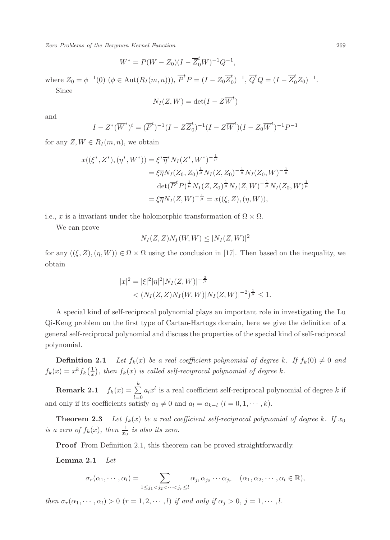Zero Problems of the Bergman Kernel Function 269

$$
W^* = P(W - Z_0)(I - \overline{Z}_0^t W)^{-1} Q^{-1},
$$

where  $Z_0 = \phi^{-1}(0) \ (\phi \in \text{Aut}(R_I(m, n))), \ \overline{P}^t P = (I - Z_0 \overline{Z}_0^t)$  $\overline{Q}^t Q = (I - \overline{Z}_0^t Z_0)^{-1}.$ Since

$$
N_I(Z, W) = \det(I - Z\overline{W}^t)
$$

and

$$
I - Z^*(\overline{W}^*)^t = (\overline{P}^t)^{-1} (I - Z\overline{Z}_0^t)^{-1} (I - Z\overline{W}^t) (I - Z_0\overline{W}^t)^{-1} P^{-1}
$$

for any  $Z, W \in R_I(m, n)$ , we obtain

$$
x((\xi^*, Z^*), (\eta^*, W^*)) = \xi^* \overline{\eta}^* N_I (Z^*, W^*)^{-\frac{1}{\mu}}
$$
  
=  $\xi \overline{\eta} N_I (Z_0, Z_0)^{\frac{1}{\mu}} N_I (Z, Z_0)^{-\frac{1}{\mu}} N_I (Z_0, W)^{-\frac{1}{\mu}}$   

$$
\det(\overline{P}^t P)^{\frac{1}{\mu}} N_I (Z, Z_0)^{\frac{1}{\mu}} N_I (Z, W)^{-\frac{1}{\mu}} N_I (Z_0, W)^{\frac{1}{\mu}}
$$
  
=  $\xi \overline{\eta} N_I (Z, W)^{-\frac{1}{\mu}} = x((\xi, Z), (\eta, W)),$ 

i.e., x is a invariant under the holomorphic transformation of  $\Omega \times \Omega$ .

We can prove

$$
N_I(Z,Z)N_I(W,W) \leq |N_I(Z,W)|^2
$$

for any  $((\xi, Z), (\eta, W)) \in \Omega \times \Omega$  using the conclusion in [17]. Then based on the inequality, we obtain

$$
|x|^2 = |\xi|^2 |\eta|^2 |N_I(Z, W)|^{-\frac{2}{\mu}} < (N_I(Z, Z)N_I(W, W)|N_I(Z, W)|^{-2})^{\frac{1}{\mu}} \le 1.
$$

A special kind of self-reciprocal polynomial plays an important role in investigating the Lu Qi-Keng problem on the first type of Cartan-Hartogs domain, here we give the definition of a general self-reciprocal polynomial and discuss the properties of the special kind of self-reciprocal polynomial.

**Definition 2.1** Let  $f_k(x)$  be a real coefficient polynomial of degree k. If  $f_k(0) \neq 0$  and  $f_k(x) = x^k f_k(\frac{1}{x})$ , then  $f_k(x)$  is called self-reciprocal polynomial of degree k.

Remark 2.1  $\,$ k  $\sum_{l=0} a_l x^l$  is a real coefficient self-reciprocal polynomial of degree k if and only if its coefficients satisfy  $a_0 \neq 0$  and  $a_l = a_{k-l}$   $(l = 0, 1, \dots, k)$ .

**Theorem 2.3** Let  $f_k(x)$  be a real coefficient self-reciprocal polynomial of degree k. If  $x_0$ is a zero of  $f_k(x)$ , then  $\frac{1}{x_0}$  is also its zero.

Proof From Definition 2.1, this theorem can be proved straightforwardly.

Lemma 2.1 Let

$$
\sigma_r(\alpha_1,\dots,\alpha_l)=\sum_{1\leq j_1
$$

then  $\sigma_r(\alpha_1, \dots, \alpha_l) > 0$   $(r = 1, 2, \dots, l)$  if and only if  $\alpha_i > 0$ ,  $j = 1, \dots, l$ .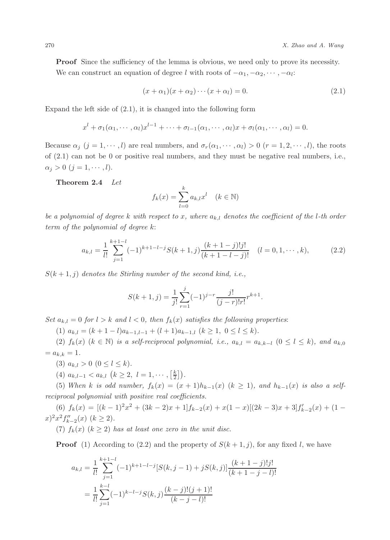**Proof** Since the sufficiency of the lemma is obvious, we need only to prove its necessity.

We can construct an equation of degree l with roots of  $-\alpha_1, -\alpha_2, \dots, -\alpha_l$ :

$$
(x + \alpha_1)(x + \alpha_2)\cdots(x + \alpha_l) = 0.
$$
\n(2.1)

Expand the left side of (2.1), it is changed into the following form

$$
x^{l} + \sigma_1(\alpha_1, \cdots, \alpha_l)x^{l-1} + \cdots + \sigma_{l-1}(\alpha_1, \cdots, \alpha_l)x + \sigma_l(\alpha_1, \cdots, \alpha_l) = 0.
$$

Because  $\alpha_j$   $(j = 1, \dots, l)$  are real numbers, and  $\sigma_r(\alpha_1, \dots, \alpha_l) > 0$   $(r = 1, 2, \dots, l)$ , the roots of (2.1) can not be 0 or positive real numbers, and they must be negative real numbers, i.e.,  $\alpha_j > 0 \ (j = 1, \cdots, l).$ 

Theorem 2.4 Let

$$
f_k(x) = \sum_{l=0}^k a_{k,l} x^l \quad (k \in \mathbb{N})
$$

be a polynomial of degree k with respect to x, where  $a_{k,l}$  denotes the coefficient of the l-th order term of the polynomial of degree k:

$$
a_{k,l} = \frac{1}{l!} \sum_{j=1}^{k+1-l} (-1)^{k+1-l-j} S(k+1,j) \frac{(k+1-j)!j!}{(k+1-l-j)!} \quad (l=0,1,\dots,k),\tag{2.2}
$$

 $S(k+1, j)$  denotes the Stirling number of the second kind, i.e.,

$$
S(k+1,j) = \frac{1}{j!} \sum_{r=1}^{j} (-1)^{j-r} \frac{j!}{(j-r)!r!} r^{k+1}.
$$

Set  $a_{k,l} = 0$  for  $l > k$  and  $l < 0$ , then  $f_k(x)$  satisfies the following properties:

(1)  $a_{k,l} = (k+1-l)a_{k-1,l-1} + (l+1)a_{k-1,l}$   $(k \ge 1, 0 \le l \le k).$ 

(2)  $f_k(x)$  ( $k \in \mathbb{N}$ ) is a self-reciprocal polynomial, i.e.,  $a_{k,l} = a_{k,k-l}$  ( $0 \le l \le k$ ), and  $a_{k,0}$  $= a_{k,k} = 1.$ 

(3)  $a_{k,l} > 0$   $(0 \leq l \leq k)$ .

(4)  $a_{k,l-1} < a_{k,l} \ (k \geq 2, l = 1, \dots, \lceil \frac{k}{2} \rceil).$ 

(5) When k is odd number,  $f_k(x) = (x+1)h_{k-1}(x)$   $(k \ge 1)$ , and  $h_{k-1}(x)$  is also a selfreciprocal polynomial with positive real coefficients.

(6)  $f_k(x) = [(k-1)^2x^2 + (3k-2)x + 1]f_{k-2}(x) + x(1-x)[(2k-3)x + 3]f'_{k-2}(x) + (1-x)(3k-2)x + 3]f'_{k-2}(x)$  $(x)^2 x^2 f''_{k-2}(x)$   $(k \ge 2)$ .

(7)  $f_k(x)$   $(k \geq 2)$  has at least one zero in the unit disc.

**Proof** (1) According to (2.2) and the property of  $S(k+1, j)$ , for any fixed l, we have

$$
a_{k,l} = \frac{1}{l!} \sum_{j=1}^{k+1-l} (-1)^{k+1-l-j} [S(k, j-1) + jS(k, j)] \frac{(k+1-j)!j!}{(k+1-j-l)!}
$$
  
= 
$$
\frac{1}{l!} \sum_{j=1}^{k-l} (-1)^{k-l-j} S(k, j) \frac{(k-j)!(j+1)!}{(k-j-l)!}
$$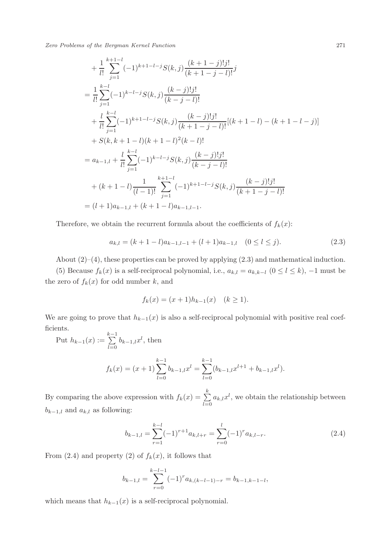Zero Problems of the Bergman Kernel Function 271

+ 
$$
\frac{1}{l!} \sum_{j=1}^{k+1-l} (-1)^{k+1-l-j} S(k, j) \frac{(k+1-j)!j!}{(k+1-j-l)!} j
$$
  
\n=  $\frac{1}{l!} \sum_{j=1}^{k-l} (-1)^{k-l-j} S(k, j) \frac{(k-j)!j!}{(k-j-l)!}$   
\n+  $\frac{l}{l!} \sum_{j=1}^{k-l} (-1)^{k+1-l-j} S(k, j) \frac{(k-j)!j!}{(k+1-j-l)!} [(k+1-l) - (k+1-l-j)]$   
\n+  $S(k, k+1-l)(k+1-l)^2 (k-l)!$   
\n=  $a_{k-1,l} + \frac{l}{l!} \sum_{j=1}^{k-l} (-1)^{k-l-j} S(k, j) \frac{(k-j)!j!}{(k-j-l)!}$   
\n+  $(k+1-l) \frac{1}{(l-1)!} \sum_{j=1}^{k+1-l} (-1)^{k+1-l-j} S(k, j) \frac{(k-j)!j!}{(k+1-j-l)!}$   
\n=  $(l+1)a_{k-1,l} + (k+1-l)a_{k-1,l-1}.$ 

Therefore, we obtain the recurrent formula about the coefficients of  $f_k(x)$ :

$$
a_{k,l} = (k+1-l)a_{k-1,l-1} + (l+1)a_{k-1,l} \quad (0 \le l \le j). \tag{2.3}
$$

About  $(2)$ – $(4)$ , these properties can be proved by applying  $(2.3)$  and mathematical induction.

(5) Because  $f_k(x)$  is a self-reciprocal polynomial, i.e.,  $a_{k,l} = a_{k,k-l}$   $(0 \le l \le k)$ , -1 must be the zero of  $f_k(x)$  for odd number k, and

$$
f_k(x) = (x+1)h_{k-1}(x) \quad (k \ge 1).
$$

We are going to prove that  $h_{k-1}(x)$  is also a self-reciprocal polynomial with positive real coefficients.

Put  $h_{k-1}(x) := \sum_{k=0}^{k-1}$  $\sum_{l=0} b_{k-1,l} x^l$ , then

$$
f_k(x) = (x+1) \sum_{l=0}^{k-1} b_{k-1,l} x^l = \sum_{l=0}^{k-1} (b_{k-1,l} x^{l+1} + b_{k-1,l} x^l).
$$

By comparing the above expression with  $f_k(x) = \sum_{k=1}^{k}$  $\sum_{l=0} a_{k,l} x^l$ , we obtain the relationship between  $b_{k-1,l}$  and  $a_{k,l}$  as following:

$$
b_{k-1,l} = \sum_{r=1}^{k-l} (-1)^{r+1} a_{k,l+r} = \sum_{r=0}^{l} (-1)^{r} a_{k,l-r}.
$$
 (2.4)

From (2.4) and property (2) of  $f_k(x)$ , it follows that

$$
b_{k-1,l} = \sum_{r=0}^{k-l-1} (-1)^r a_{k,(k-l-1)-r} = b_{k-1,k-1-l},
$$

which means that  $h_{k-1}(x)$  is a self-reciprocal polynomial.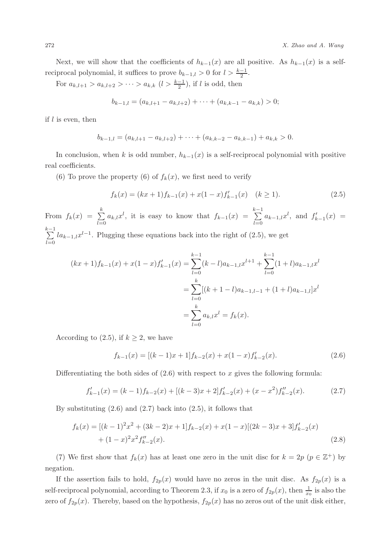Next, we will show that the coefficients of  $h_{k-1}(x)$  are all positive. As  $h_{k-1}(x)$  is a selfreciprocal polynomial, it suffices to prove  $b_{k-1,l} > 0$  for  $l > \frac{k-1}{2}$ .

For  $a_{k,l+1} > a_{k,l+2} > \cdots > a_{k,k}$   $(l > \frac{k-1}{2})$ , if l is odd, then

$$
b_{k-1,l} = (a_{k,l+1} - a_{k,l+2}) + \cdots + (a_{k,k-1} - a_{k,k}) > 0;
$$

if  $l$  is even, then

$$
b_{k-1,l} = (a_{k,l+1} - a_{k,l+2}) + \cdots + (a_{k,k-2} - a_{k,k-1}) + a_{k,k} > 0.
$$

In conclusion, when k is odd number,  $h_{k-1}(x)$  is a self-reciprocal polynomial with positive real coefficients.

(6) To prove the property (6) of  $f_k(x)$ , we first need to verify

$$
f_k(x) = (kx+1)f_{k-1}(x) + x(1-x)f'_{k-1}(x) \quad (k \ge 1).
$$
 (2.5)

From  $f_k(x) = \sum_{k=1}^{k}$  $\sum_{l=0}^{k} a_{k,l} x^{l}$ , it is easy to know that  $f_{k-1}(x) = \sum_{l=0}^{k-1}$  $\sum_{l=0} a_{k-1,l} x^l$ , and  $f'_{k-1}(x) =$  $\sum_{i=1}^{k-1}$  $\sum_{l=0}$   $la_{k-1,l}x^{l-1}$ . Plugging these equations back into the right of (2.5), we get

$$
(kx+1)f_{k-1}(x) + x(1-x)f'_{k-1}(x) = \sum_{l=0}^{k-1} (k-l)a_{k-1,l}x^{l+1} + \sum_{l=0}^{k-1} (1+l)a_{k-1,l}x^l
$$
  
= 
$$
\sum_{l=0}^k [(k+1-l)a_{k-1,l-1} + (1+l)a_{k-1,l}]x^l
$$
  
= 
$$
\sum_{l=0}^k a_{k,l}x^l = f_k(x).
$$

According to (2.5), if  $k \geq 2$ , we have

$$
f_{k-1}(x) = [(k-1)x+1]f_{k-2}(x) + x(1-x)f'_{k-2}(x).
$$
\n(2.6)

Differentiating the both sides of  $(2.6)$  with respect to x gives the following formula:

$$
f'_{k-1}(x) = (k-1)f_{k-2}(x) + [(k-3)x+2]f'_{k-2}(x) + (x-x^2)f''_{k-2}(x).
$$
 (2.7)

By substituting  $(2.6)$  and  $(2.7)$  back into  $(2.5)$ , it follows that

$$
f_k(x) = [(k-1)^2 x^2 + (3k-2)x + 1]f_{k-2}(x) + x(1-x)[(2k-3)x + 3]f'_{k-2}(x)
$$
  
+  $(1-x)^2 x^2 f''_{k-2}(x)$ . (2.8)

(7) We first show that  $f_k(x)$  has at least one zero in the unit disc for  $k = 2p$   $(p \in \mathbb{Z}^+)$  by negation.

If the assertion fails to hold,  $f_{2p}(x)$  would have no zeros in the unit disc. As  $f_{2p}(x)$  is a self-reciprocal polynomial, according to Theorem 2.3, if  $x_0$  is a zero of  $f_{2p}(x)$ , then  $\frac{1}{x_0}$  is also the zero of  $f_{2p}(x)$ . Thereby, based on the hypothesis,  $f_{2p}(x)$  has no zeros out of the unit disk either,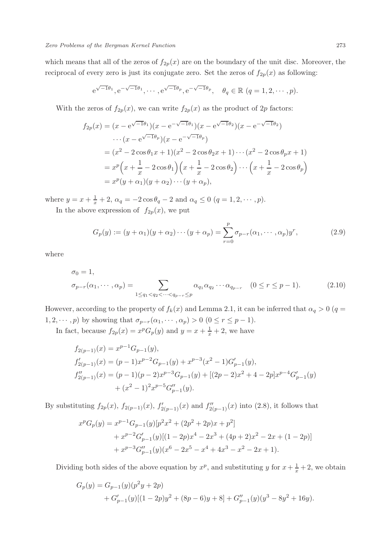which means that all of the zeros of  $f_{2p}(x)$  are on the boundary of the unit disc. Moreover, the reciprocal of every zero is just its conjugate zero. Set the zeros of  $f_{2p}(x)$  as following:

$$
e^{\sqrt{-1}\theta_1}
$$
,  $e^{-\sqrt{-1}\theta_1}$ ,  $\cdots$ ,  $e^{\sqrt{-1}\theta_p}$ ,  $e^{-\sqrt{-1}\theta_p}$ ,  $\theta_q \in \mathbb{R}$  ( $q = 1, 2, \cdots, p$ ).

With the zeros of  $f_{2p}(x)$ , we can write  $f_{2p}(x)$  as the product of  $2p$  factors:

$$
f_{2p}(x) = (x - e^{\sqrt{-1}\theta_1})(x - e^{-\sqrt{-1}\theta_1})(x - e^{\sqrt{-1}\theta_2})(x - e^{-\sqrt{-1}\theta_2})
$$
  
 
$$
\cdots (x - e^{\sqrt{-1}\theta_p})(x - e^{-\sqrt{-1}\theta_p})
$$
  

$$
= (x^2 - 2\cos\theta_1 x + 1)(x^2 - 2\cos\theta_2 x + 1)\cdots(x^2 - 2\cos\theta_p x + 1)
$$
  

$$
= x^p \left(x + \frac{1}{x} - 2\cos\theta_1\right) \left(x + \frac{1}{x} - 2\cos\theta_2\right) \cdots \left(x + \frac{1}{x} - 2\cos\theta_p\right)
$$
  

$$
= x^p (y + \alpha_1)(y + \alpha_2) \cdots (y + \alpha_p),
$$

where  $y = x + \frac{1}{x} + 2$ ,  $\alpha_q = -2 \cos \theta_q - 2$  and  $\alpha_q \le 0$   $(q = 1, 2, \dots, p)$ .

In the above expression of  $f_{2p}(x)$ , we put

$$
G_p(y) := (y + \alpha_1)(y + \alpha_2) \cdots (y + \alpha_p) = \sum_{r=0}^p \sigma_{p-r}(\alpha_1, \cdots, \alpha_p) y^r,
$$
\n(2.9)

where

$$
\sigma_0 = 1, \n\sigma_{p-r}(\alpha_1, \dots, \alpha_p) = \sum_{1 \le q_1 < q_2 < \dots < q_{p-r} \le p} \alpha_{q_1} \alpha_{q_2} \dots \alpha_{q_{p-r}} \quad (0 \le r \le p-1).
$$
\n(2.10)

However, according to the property of  $f_k(x)$  and Lemma 2.1, it can be inferred that  $\alpha_q > 0$  ( $q =$ 1, 2,  $\cdots$ , *p*) by showing that  $\sigma_{p-r}(\alpha_1, \dots, \alpha_p) > 0$  ( $0 \le r \le p-1$ ).

In fact, because  $f_{2p}(x) = x^p G_p(y)$  and  $y = x + \frac{1}{x} + 2$ , we have

$$
f_{2(p-1)}(x) = x^{p-1}G_{p-1}(y),
$$
  
\n
$$
f'_{2(p-1)}(x) = (p-1)x^{p-2}G_{p-1}(y) + x^{p-3}(x^2 - 1)G'_{p-1}(y),
$$
  
\n
$$
f''_{2(p-1)}(x) = (p-1)(p-2)x^{p-3}G_{p-1}(y) + [(2p-2)x^2 + 4 - 2p]x^{p-4}G'_{p-1}(y) + (x^2 - 1)^2x^{p-5}G''_{p-1}(y).
$$

By substituting  $f_{2p}(x)$ ,  $f_{2(p-1)}(x)$ ,  $f'_{2(p-1)}(x)$  and  $f''_{2(p-1)}(x)$  into (2.8), it follows that

$$
x^{p}G_{p}(y) = x^{p-1}G_{p-1}(y)[p^{2}x^{2} + (2p^{2} + 2p)x + p^{2}]
$$
  
+ 
$$
x^{p-2}G'_{p-1}(y)[(1 - 2p)x^{4} - 2x^{3} + (4p + 2)x^{2} - 2x + (1 - 2p)]
$$
  
+ 
$$
x^{p-3}G''_{p-1}(y)(x^{6} - 2x^{5} - x^{4} + 4x^{3} - x^{2} - 2x + 1).
$$

Dividing both sides of the above equation by  $x^p$ , and substituting y for  $x + \frac{1}{x} + 2$ , we obtain

$$
G_p(y) = G_{p-1}(y)(p^2y + 2p)
$$
  
+ 
$$
G'_{p-1}(y)[(1 - 2p)y^2 + (8p - 6)y + 8] + G''_{p-1}(y)(y^3 - 8y^2 + 16y).
$$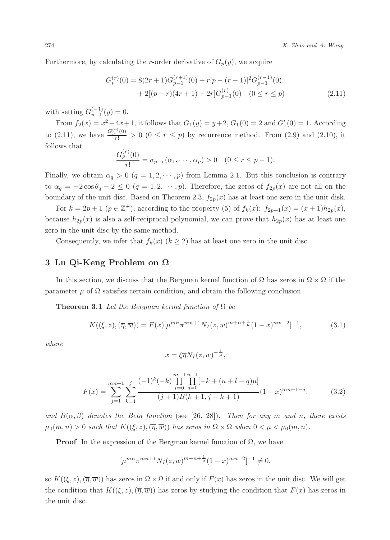Furthermore, by calculating the r-order derivative of  $G_p(y)$ , we acquire

$$
G_p^{(r)}(0) = 8(2r+1)G_{p-1}^{(r+1)}(0) + r[p - (r-1)]^2 G_{p-1}^{(r-1)}(0)
$$
  
+ 2[(p - r)(4r + 1) + 2r]G\_{p-1}^{(r)}(0) \t(0 \le r \le p) (2.11)

with setting  $G_{p-1}^{(-1)}(y) = 0$ .

From  $f_2(x) = x^2 + 4x + 1$ , it follows that  $G_1(y) = y + 2$ ,  $G_1(0) = 2$  and  $G'_1(0) = 1$ . According to (2.11), we have  $\frac{G_p^{(r)}(0)}{r!} > 0$   $(0 \le r \le p)$  by recurrence method. From (2.9) and (2.10), it follows that

$$
\frac{G_p^{(r)}(0)}{r!} = \sigma_{p-r}(\alpha_1, \cdots, \alpha_p) > 0 \quad (0 \le r \le p-1).
$$

Finally, we obtain  $\alpha_q > 0$   $(q = 1, 2, \dots, p)$  from Lemma 2.1. But this conclusion is contrary to  $\alpha_q = -2 \cos \theta_q - 2 \leq 0$   $(q = 1, 2, \dots, p)$ . Therefore, the zeros of  $f_{2p}(x)$  are not all on the boundary of the unit disc. Based on Theorem 2.3,  $f_{2p}(x)$  has at least one zero in the unit disk.

For  $k = 2p + 1$   $(p \in \mathbb{Z}^+)$ , according to the property (5) of  $f_k(x)$ :  $f_{2p+1}(x) = (x+1)h_{2p}(x)$ , because  $h_{2p}(x)$  is also a self-reciprocal polynomial, we can prove that  $h_{2p}(x)$  has at least one zero in the unit disc by the same method.

Consequently, we infer that  $f_k(x)$   $(k \geq 2)$  has at least one zero in the unit disc.

#### 3 Lu Qi-Keng Problem on Ω

In this section, we discuss that the Bergman kernel function of  $\Omega$  has zeros in  $\Omega \times \Omega$  if the parameter  $\mu$  of  $\Omega$  satisfies certain condition, and obtain the following conclusion.

**Theorem 3.1** Let the Bergman kernel function of  $\Omega$  be

$$
K((\xi, z), (\overline{\eta}, \overline{w})) = F(x)[\mu^{mn} \pi^{mn+1} N_I(z, w)^{m+n+\frac{1}{\mu}} (1-x)^{mn+2}]^{-1},
$$
\n(3.1)

where

$$
x = \xi \overline{\eta} N_I(z, w)^{-\frac{1}{\mu}},
$$

$$
F(x) = \sum_{j=1}^{mn+1} \sum_{k=1}^{j} \frac{(-1)^k (-k) \prod_{l=0}^{m-1} \prod_{q=0}^{n-1} [-k + (n+l-q)\mu]}{(j+1)B(k+1, j-k+1)} (1-x)^{mn+1-j}, \tag{3.2}
$$

and  $B(\alpha, \beta)$  denotes the Beta function (see [26, 28]). Then for any m and n, there exists  $\mu_0(m,n) > 0$  such that  $K((\xi, z),(\overline{\eta}, \overline{w}))$  has zeros in  $\Omega \times \Omega$  when  $0 < \mu < \mu_0(m,n)$ .

**Proof** In the expression of the Bergman kernel function of  $\Omega$ , we have

$$
[\mu^{mn}\pi^{mn+1}N_I(z,w)^{m+n+\frac{1}{\mu}}(1-x)^{mn+2}]^{-1} \neq 0,
$$

so  $K((\xi, z),(\overline{\eta}, \overline{w}))$  has zeros in  $\Omega \times \Omega$  if and only if  $F(x)$  has zeros in the unit disc. We will get the condition that  $K((\xi, z),(\overline{\eta}, \overline{w}))$  has zeros by studying the condition that  $F(x)$  has zeros in the unit disc.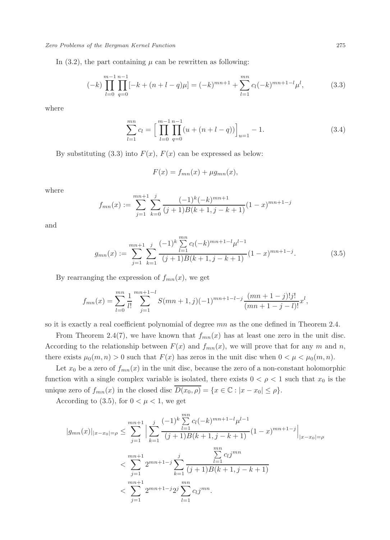Zero Problems of the Bergman Kernel Function 275

In  $(3.2)$ , the part containing  $\mu$  can be rewritten as following:

$$
(-k)\prod_{l=0}^{m-1}\prod_{q=0}^{n-1}[-k+(n+l-q)\mu] = (-k)^{mn+1} + \sum_{l=1}^{mn}c_l(-k)^{mn+1-l}\mu^l,
$$
\n(3.3)

where

$$
\sum_{l=1}^{mn} c_l = \left[ \prod_{l=0}^{m-1} \prod_{q=0}^{n-1} (u + (n+l-q)) \right]_{u=1} - 1.
$$
 (3.4)

By substituting (3.3) into  $F(x)$ ,  $F(x)$  can be expressed as below:

$$
F(x) = f_{mn}(x) + \mu g_{mn}(x),
$$

where

$$
f_{mn}(x) := \sum_{j=1}^{mn+1} \sum_{k=0}^{j} \frac{(-1)^k (-k)^{mn+1}}{(j+1)B(k+1, j-k+1)} (1-x)^{mn+1-j}
$$

and

$$
g_{mn}(x) := \sum_{j=1}^{mn+1} \sum_{k=1}^{j} \frac{(-1)^k \sum_{l=1}^{mn} c_l(-k)^{mn+1-l} \mu^{l-1}}{(j+1)B(k+1,j-k+1)} (1-x)^{mn+1-j}.
$$
 (3.5)

By rearranging the expression of  $f_{mn}(x)$ , we get

$$
f_{mn}(x) = \sum_{l=0}^{mn} \frac{1}{l!} \sum_{j=1}^{mn+1-l} S(mn+1,j)(-1)^{mn+1-l-j} \frac{(mn+1-j)!j!}{(mn+1-j-l)!} x^l,
$$

so it is exactly a real coefficient polynomial of degree mn as the one defined in Theorem 2.4.

From Theorem 2.4(7), we have known that  $f_{mn}(x)$  has at least one zero in the unit disc. According to the relationship between  $F(x)$  and  $f_{mn}(x)$ , we will prove that for any m and n, there exists  $\mu_0(m, n) > 0$  such that  $F(x)$  has zeros in the unit disc when  $0 < \mu < \mu_0(m, n)$ .

Let  $x_0$  be a zero of  $f_{mn}(x)$  in the unit disc, because the zero of a non-constant holomorphic function with a single complex variable is isolated, there exists  $0 < \rho < 1$  such that  $x_0$  is the unique zero of  $f_{mn}(x)$  in the closed disc  $\overline{D(x_0, \rho)} = \{x \in \mathbb{C} : |x - x_0| \leq \rho\}.$ 

According to (3.5), for  $0 < \mu < 1$ , we get

$$
|g_{mn}(x)|_{|x-x_0|=\rho} \le \sum_{j=1}^{mn+1} \Big| \sum_{k=1}^j \frac{(-1)^k \sum_{l=1}^{mn} c_l(-k)^{mn+1-l} \mu^{l-1}}{(j+1)B(k+1,j-k+1)} (1-x)^{mn+1-j} \Big|_{|x-x_0|=\rho}
$$
  

$$
< \sum_{j=1}^{mn+1} 2^{mn+1-j} \sum_{k=1}^j \frac{\sum_{l=1}^{mn} c_l j^{mn}}{(j+1)B(k+1,j-k+1)}
$$
  

$$
< \sum_{j=1}^{mn+1} 2^{mn+1-j} 2^j \sum_{l=1}^{mn} c_l j^{mn}.
$$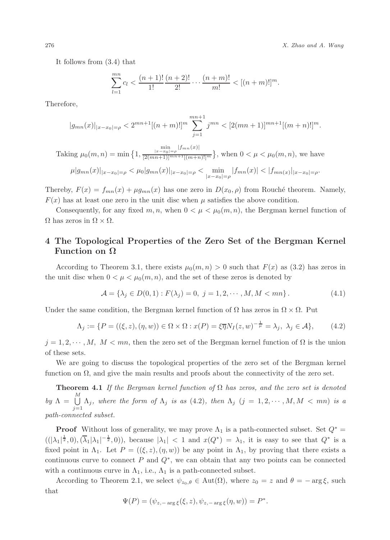276 X. Zhao and A. Wang

It follows from (3.4) that

$$
\sum_{l=1}^{mn} c_l < \frac{(n+1)!}{1!} \frac{(n+2)!}{2!} \cdots \frac{(n+m)!}{m!} < [(n+m)!]^m.
$$

Therefore,

$$
|g_{mn}(x)|_{|x-x_0|=\rho} < 2^{mn+1}[(n+m)!]^{m} \sum_{j=1}^{mn+1} j^{mn} < [2(mn+1)]^{mn+1}[(m+n)!]^{m}.
$$

Taking  $\mu_0(m, n) = \min\{1, \}$  $\min_{|x-x_0|=\rho} |f_{mn}(x)|$  $\frac{|x-x_0|=\rho^{\frac{|\nu|}{2}}}{[2(mn+1)]^{mn+1}[(m+n)!]^m}$ , when  $0<\mu<\mu_0(m,n)$ , we have

$$
\mu|g_{mn}(x)|_{|x-x_0|=\rho} < \mu_0|g_{mn}(x)|_{|x-x_0|=\rho} < \min_{|x-x_0|=\rho} |f_{mn}(x)| < |f_{mn}(x)|_{|x-x_0|=\rho}.
$$

Thereby,  $F(x) = f_{mn}(x) + \mu g_{mn}(x)$  has one zero in  $D(x_0, \rho)$  from Rouché theorem. Namely,  $F(x)$  has at least one zero in the unit disc when  $\mu$  satisfies the above condition.

Consequently, for any fixed m, n, when  $0 < \mu < \mu_0(m, n)$ , the Bergman kernel function of  $\Omega$  has zeros in  $\Omega \times \Omega$ .

## 4 The Topological Properties of the Zero Set of the Bergman Kernel Function on Ω

According to Theorem 3.1, there exists  $\mu_0(m, n) > 0$  such that  $F(x)$  as (3.2) has zeros in the unit disc when  $0 < \mu < \mu_0(m, n)$ , and the set of these zeros is denoted by

$$
\mathcal{A} = \{ \lambda_j \in D(0, 1) : F(\lambda_j) = 0, \ j = 1, 2, \cdots, M, M < mn \}. \tag{4.1}
$$

Under the same condition, the Bergman kernel function of  $\Omega$  has zeros in  $\Omega \times \Omega$ . Put

$$
\Lambda_j := \{ P = ((\xi, z), (\eta, w)) \in \Omega \times \Omega : x(P) = \xi \overline{\eta} N_I(z, w)^{-\frac{1}{\mu}} = \lambda_j, \ \lambda_j \in \mathcal{A} \},\tag{4.2}
$$

 $j = 1, 2, \dots, M, M < mn$ , then the zero set of the Bergman kernel function of  $\Omega$  is the union of these sets.

We are going to discuss the topological properties of the zero set of the Bergman kernel function on  $\Omega$ , and give the main results and proofs about the connectivity of the zero set.

**Theorem 4.1** If the Bergman kernel function of  $\Omega$  has zeros, and the zero set is denoted by  $\Lambda = \bigcup^{M}$  $\bigcup_{j=1} \Lambda_j$ , where the form of  $\Lambda_j$  is as (4.2), then  $\Lambda_j$  (j = 1, 2,  $\cdots$  , M, M < mn) is a path-connected subset.

**Proof** Without loss of generality, we may prove  $\Lambda_1$  is a path-connected subset. Set  $Q^*$  =  $((|\lambda_1|^{\frac{1}{2}},0),(\overline{\lambda}_1|\lambda_1|^{-\frac{1}{2}},0))$ , because  $|\lambda_1| < 1$  and  $x(Q^*) = \lambda_1$ , it is easy to see that  $Q^*$  is a fixed point in  $\Lambda_1$ . Let  $P = ((\xi, z), (\eta, w))$  be any point in  $\Lambda_1$ , by proving that there exists a continuous curve to connect  $P$  and  $Q^*$ , we can obtain that any two points can be connected with a continuous curve in  $\Lambda_1$ , i.e.,  $\Lambda_1$  is a path-connected subset.

According to Theorem 2.1, we select  $\psi_{z_0,\theta} \in \text{Aut}(\Omega)$ , where  $z_0 = z$  and  $\theta = -\arg \xi$ , such that

$$
\Psi(P) = (\psi_{z, -\arg \xi}(\xi, z), \psi_{z, -\arg \xi}(\eta, w)) = P^*.
$$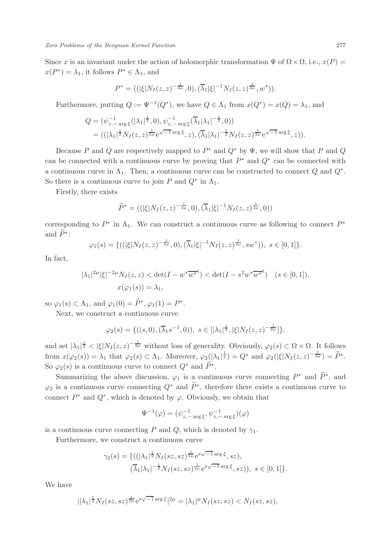Since x is an invariant under the action of holomorphic transformation  $\Psi$  of  $\Omega \times \Omega$ , i.e.,  $x(P)$  =  $x(P^*) = \lambda_1$ , it follows  $P^* \in \Lambda_1$ , and

$$
P^* = ((|\xi|N_I(z,z)^{-\frac{1}{2\mu}},0),(\overline{\lambda}_1|\xi|^{-1}N_I(z,z)^{\frac{1}{2\mu}},w^*)).
$$

Furthermore, putting  $Q := \Psi^{-1}(Q^*)$ , we have  $Q \in \Lambda_1$  from  $x(Q^*) = x(Q) = \lambda_1$ , and

$$
Q = (\psi_{z, -\arg \xi}^{-1}(|\lambda_1|^{\frac{1}{2}}, 0), \psi_{z, -\arg \xi}^{-1}(\overline{\lambda_1}|\lambda_1|^{-\frac{1}{2}}, 0))
$$
  
= ((|\lambda\_1|^{\frac{1}{2}}N\_I(z, z)^{\frac{1}{2\mu}}e^{\sqrt{-1}\arg \xi}, z), (\overline{\lambda\_1}|\lambda\_1|^{-\frac{1}{2}}N\_I(z, z)^{\frac{1}{2\mu}}e^{\sqrt{-1}\arg \xi}, z)).

Because P and Q are respectively mapped to  $P^*$  and  $Q^*$  by  $\Psi$ , we will show that P and Q can be connected with a continuous curve by proving that  $P^*$  and  $Q^*$  can be connected with a continuous curve in  $\Lambda_1$ . Then, a continuous curve can be constructed to connect Q and  $Q^*$ . So there is a continuous curve to join P and  $Q^*$  in  $\Lambda_1$ .

Firstly, there exists

$$
\widetilde{P}^* = ((|\xi|N_I(z,z)^{-\frac{1}{2\mu}},0),(\overline{\lambda}_1|\xi|^{-1}N_I(z,z)^{\frac{1}{2\mu}},0))
$$

corresponding to  $P^*$  in  $\Lambda_1$ . We can construct a continuous curve as following to connect  $P^*$ and  $P^*$ :

$$
\varphi_1(s) = \{((|\xi|N_I(z,z)^{-\frac{1}{2\mu}},0),(\overline{\lambda}_1|\xi|^{-1}N_I(z,z)^{\frac{1}{2\mu}},sw^*)), s \in [0,1]\}.
$$

In fact,

$$
|\lambda_1|^{2\mu} |\xi|^{-2\mu} N_I(z, z) < \det(I - w^* \overline{w^*}^t) < \det(I - s^2 w^* \overline{w^*}^t) \quad (s \in [0, 1]),
$$
\n
$$
x(\varphi_1(s)) = \lambda_1,
$$

so  $\varphi_1(s) \subset \Lambda_1$ , and  $\varphi_1(0) = P^*, \varphi_1(1) = P^*$ .

Next, we construct a continuous curve

$$
\varphi_2(s) = \{ ((s,0), (\overline{\lambda}_1 s^{-1}, 0)), \ s \in [|\lambda_1|^{\frac{1}{2}}, |\xi| N_I(z,z)^{-\frac{1}{2\mu}}] \},
$$

and set  $|\lambda_1|^{\frac{1}{2}} < |\xi| N_I(z, z)^{-\frac{1}{2\mu}}$  without loss of generality. Obviously,  $\varphi_2(s) \subset \Omega \times \Omega$ . It follows from  $x(\varphi_2(s)) = \lambda_1$  that  $\varphi_2(s) \subset \Lambda_1$ . Moreover,  $\varphi_2(|\lambda_1|^{\frac{1}{2}}) = Q^*$  and  $\varphi_2(|\xi| N_I(z, z)^{-\frac{1}{2\mu}}) = \widetilde{P}^*$ . So  $\varphi_2(s)$  is a continuous curve to connect  $Q^*$  and  $P^*$ .

Summarizing the above discussion,  $\varphi_1$  is a continuous curve connecting  $P^*$  and  $P^*$ , and  $\varphi_2$  is a continuous curve connecting  $Q^*$  and  $P^*$ , therefore there exists a continuous curve to connect  $P^*$  and  $Q^*$ , which is denoted by  $\varphi$ . Obviously, we obtain that

$$
\Psi^{-1}(\varphi) = (\psi_{z, -\arg \xi}^{-1}, \psi_{z, -\arg \xi}^{-1})(\varphi)
$$

is a continuous curve connecting P and Q, which is denoted by  $\gamma_1$ .

Furthermore, we construct a continuous curve

$$
\gamma_2(s) = \{ ((|\lambda_1|^{\frac{1}{2}} N_I(sz, sz)^{\frac{1}{2\mu}} e^{s\sqrt{-1}\arg\xi}, sz), (\overline{\lambda}_1 |\lambda_1|^{-\frac{1}{2}} N_I(sz, sz)^{\frac{1}{2\mu}} e^{s\sqrt{-1}\arg\xi}, sz)), s \in [0, 1] \}.
$$

We have

$$
||\lambda_1|^{\frac{1}{2}} N_I(sz,sz)^{\frac{1}{2\mu}} e^{s\sqrt{-1}\arg \xi} |^{2\mu} = |\lambda_1|^{\mu} N_I(sz,sz) < N_I(sz,sz),
$$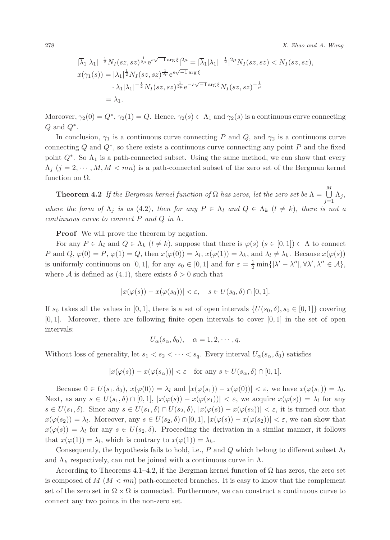278 X. Zhao and A. Wang

$$
|\overline{\lambda}_{1}|\lambda_{1}|^{-\frac{1}{2}}N_{I}(sz,sz)^{\frac{1}{2\mu}}e^{s\sqrt{-1}\arg\xi}|^{2\mu} = |\overline{\lambda}_{1}|\lambda_{1}|^{-\frac{1}{2}}|^{2\mu}N_{I}(sz,sz) < N_{I}(sz,sz),
$$
  

$$
x(\gamma_{1}(s)) = |\lambda_{1}|^{\frac{1}{2}}N_{I}(sz,sz)^{\frac{1}{2\mu}}e^{s\sqrt{-1}\arg\xi}
$$

$$
\lambda_{1}|\lambda_{1}|^{-\frac{1}{2}}N_{I}(sz,sz)^{\frac{1}{2\mu}}e^{-s\sqrt{-1}\arg\xi}N_{I}(sz,sz)^{-\frac{1}{\mu}}
$$

$$
= \lambda_{1}.
$$

Moreover,  $\gamma_2(0) = Q^*, \gamma_2(1) = Q.$  Hence,  $\gamma_2(s) \subset \Lambda_1$  and  $\gamma_2(s)$  is a continuous curve connecting  $Q$  and  $Q^*$ .

In conclusion,  $\gamma_1$  is a continuous curve connecting P and Q, and  $\gamma_2$  is a continuous curve connecting Q and  $Q^*$ , so there exists a continuous curve connecting any point P and the fixed point  $Q^*$ . So  $\Lambda_1$  is a path-connected subset. Using the same method, we can show that every  $\Lambda_j$  ( $j = 2, \dots, M, M < mn$ ) is a path-connected subset of the zero set of the Bergman kernel function on  $\Omega$ .

**Theorem 4.2** If the Bergman kernel function of  $\Omega$  has zeros, let the zero set be  $\Lambda = \bigcup_{i=1}^{M} \Lambda_{i}$ ,  $j=1$ where the form of  $\Lambda_j$  is as (4.2), then for any  $P \in \Lambda_l$  and  $Q \in \Lambda_k$  ( $l \neq k$ ), there is not a continuous curve to connect P and Q in  $\Lambda$ .

**Proof** We will prove the theorem by negation.

For any  $P \in \Lambda_l$  and  $Q \in \Lambda_k$   $(l \neq k)$ , suppose that there is  $\varphi(s)$   $(s \in [0,1]) \subset \Lambda$  to connect P and  $Q, \varphi(0) = P, \varphi(1) = Q$ , then  $x(\varphi(0)) = \lambda_l, x(\varphi(1)) = \lambda_k$ , and  $\lambda_l \neq \lambda_k$ . Because  $x(\varphi(s))$ is uniformly continuous on [0, 1], for any  $s_0 \in [0,1]$  and for  $\varepsilon = \frac{1}{2} \min\{|\lambda' - \lambda''|, \forall \lambda', \lambda'' \in \mathcal{A}\},\$ where A is defined as (4.1), there exists  $\delta > 0$  such that

$$
|x(\varphi(s)) - x(\varphi(s_0))| < \varepsilon, \quad s \in U(s_0, \delta) \cap [0, 1].
$$

If s<sub>0</sub> takes all the values in [0, 1], there is a set of open intervals  $\{U(s_0, \delta), s_0 \in [0, 1]\}$  covering  $[0, 1]$ . Moreover, there are following finite open intervals to cover  $[0, 1]$  in the set of open intervals:

$$
U_{\alpha}(s_{\alpha}, \delta_0), \quad \alpha = 1, 2, \cdots, q.
$$

Without loss of generality, let  $s_1 < s_2 < \cdots < s_q$ . Every interval  $U_\alpha(s_\alpha, \delta_0)$  satisfies

$$
|x(\varphi(s)) - x(\varphi(s_\alpha))| < \varepsilon \quad \text{for any } s \in U(s_\alpha, \delta) \cap [0, 1].
$$

Because  $0 \in U(s_1, \delta_0)$ ,  $x(\varphi(0)) = \lambda_l$  and  $|x(\varphi(s_1)) - x(\varphi(0))| < \varepsilon$ , we have  $x(\varphi(s_1)) = \lambda_l$ . Next, as any  $s \in U(s_1, \delta) \cap [0, 1], |x(\varphi(s)) - x(\varphi(s_1))| < \varepsilon$ , we acquire  $x(\varphi(s)) = \lambda_l$  for any  $s \in U(s_1, \delta)$ . Since any  $s \in U(s_1, \delta) \cap U(s_2, \delta)$ ,  $|x(\varphi(s)) - x(\varphi(s_2))| < \varepsilon$ , it is turned out that  $x(\varphi(s_2)) = \lambda_l$ . Moreover, any  $s \in U(s_2, \delta) \cap [0, 1], |x(\varphi(s)) - x(\varphi(s_2))| < \varepsilon$ , we can show that  $x(\varphi(s)) = \lambda_l$  for any  $s \in U(s_2, \delta)$ . Proceeding the derivation in a similar manner, it follows that  $x(\varphi(1)) = \lambda_l$ , which is contrary to  $x(\varphi(1)) = \lambda_k$ .

Consequently, the hypothesis fails to hold, i.e., P and Q which belong to different subset  $\Lambda_l$ and  $\Lambda_k$  respectively, can not be joined with a continuous curve in  $\Lambda$ .

According to Theorems 4.1–4.2, if the Bergman kernel function of  $\Omega$  has zeros, the zero set is composed of  $M (M < mn)$  path-connected branches. It is easy to know that the complement set of the zero set in  $\Omega \times \Omega$  is connected. Furthermore, we can construct a continuous curve to connect any two points in the non-zero set.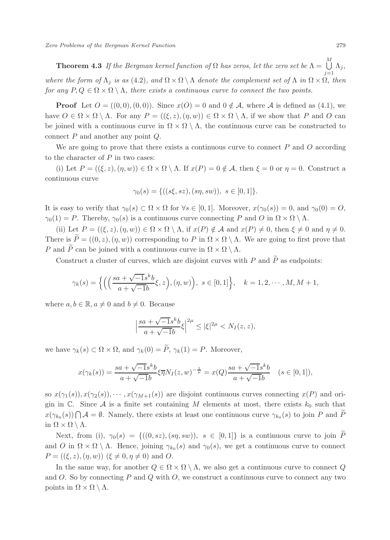**Theorem 4.3** If the Bergman kernel function of  $\Omega$  has zeros, let the zero set be  $\Lambda = \bigcup_{i=1}^{M} \Lambda_{i}$ ,  $j=1$ where the form of  $\Lambda_j$  is as (4.2), and  $\Omega \times \Omega \setminus \Lambda$  denote the complement set of  $\Lambda$  in  $\Omega \times \Omega$ , then for any  $P, Q \in \Omega \times \Omega \setminus \Lambda$ , there exists a continuous curve to connect the two points.

**Proof** Let  $O = ((0,0), (0,0))$ . Since  $x(O) = 0$  and  $0 \notin A$ , where A is defined as (4.1), we have  $O \in \Omega \times \Omega \setminus \Lambda$ . For any  $P = ((\xi, z), (\eta, w)) \in \Omega \times \Omega \setminus \Lambda$ , if we show that P and O can be joined with a continuous curve in  $\Omega \times \Omega \setminus \Lambda$ , the continuous curve can be constructed to connect P and another any point Q.

We are going to prove that there exists a continuous curve to connect  $P$  and  $Q$  according to the character of  $P$  in two cases:

(i) Let  $P = ((\xi, z), (\eta, w)) \in \Omega \times \Omega \setminus \Lambda$ . If  $x(P) = 0 \notin \mathcal{A}$ , then  $\xi = 0$  or  $\eta = 0$ . Construct a continuous curve

$$
\gamma_0(s) = \{((s\xi, sz), (s\eta, sw)), s \in [0, 1]\}.
$$

It is easy to verify that  $\gamma_0(s) \subset \Omega \times \Omega$  for  $\forall s \in [0,1]$ . Moreover,  $x(\gamma_0(s)) = 0$ , and  $\gamma_0(0) = O$ ,  $\gamma_0(1) = P$ . Thereby,  $\gamma_0(s)$  is a continuous curve connecting P and O in  $\Omega \times \Omega \setminus \Lambda$ .

(ii) Let  $P = ((\xi, z), (\eta, w)) \in \Omega \times \Omega \setminus \Lambda$ , if  $x(P) \notin \mathcal{A}$  and  $x(P) \neq 0$ , then  $\xi \neq 0$  and  $\eta \neq 0$ . There is  $\widetilde{P} = ((0, z), (\eta, w))$  corresponding to P in  $\Omega \times \Omega \setminus \Lambda$ . We are going to first prove that P and  $\widetilde{P}$  can be joined with a continuous curve in  $\Omega \times \Omega \setminus \Lambda$ .

Construct a cluster of curves, which are disjoint curves with P and  $\widetilde{P}$  as endpoints:

$$
\gamma_k(s) = \left\{ \left( \left( \frac{sa + \sqrt{-1}s^k b}{a + \sqrt{-1}b} \xi, z \right), (\eta, w) \right), \ s \in [0, 1] \right\}, \quad k = 1, 2, \cdots, M, M + 1,
$$

where  $a, b \in \mathbb{R}, a \neq 0$  and  $b \neq 0$ . Because

$$
\left|\frac{sa + \sqrt{-1}s^k b}{a + \sqrt{-1}b}\xi\right|^{2\mu} \le |\xi|^{2\mu} < N_I(z, z),
$$

we have  $\gamma_k(s) \subset \Omega \times \Omega$ , and  $\gamma_k(0) = \tilde{P}$ ,  $\gamma_k(1) = P$ . Moreover,

$$
x(\gamma_k(s)) = \frac{sa + \sqrt{-1}s^k b}{a + \sqrt{-1}b} \xi \overline{\eta} N_I(z, w)^{-\frac{1}{\mu}} = x(Q) \frac{sa + \sqrt{-1}s^k b}{a + \sqrt{-1}b} \quad (s \in [0, 1]),
$$

so  $x(\gamma_1(s)), x(\gamma_2(s)), \cdots, x(\gamma_{M+1}(s))$  are disjoint continuous curves connecting  $x(P)$  and origin in  $\mathbb C$ . Since A is a finite set containing M elements at most, there exists  $k_0$  such that  $x(\gamma_{k_0}(s)) \bigcap \mathcal{A} = \emptyset$ . Namely, there exists at least one continuous curve  $\gamma_{k_0}(s)$  to join P and  $\tilde{P}$ in  $\Omega \times \Omega \setminus \Lambda$ .

Next, from (i),  $\gamma_0(s) = \{((0, s z), (s \eta, s w)), s \in [0, 1]\}\$ is a continuous curve to join  $\widetilde{P}$ and O in  $\Omega \times \Omega \setminus \Lambda$ . Hence, joining  $\gamma_{k_0}(s)$  and  $\gamma_0(s)$ , we get a continuous curve to connect  $P = ((\xi, z), (\eta, w))$   $(\xi \neq 0, \eta \neq 0)$  and O.

In the same way, for another  $Q \in \Omega \times \Omega \setminus \Lambda$ , we also get a continuous curve to connect Q and  $O$ . So by connecting  $P$  and  $Q$  with  $O$ , we construct a continuous curve to connect any two points in  $\Omega \times \Omega \setminus \Lambda$ .